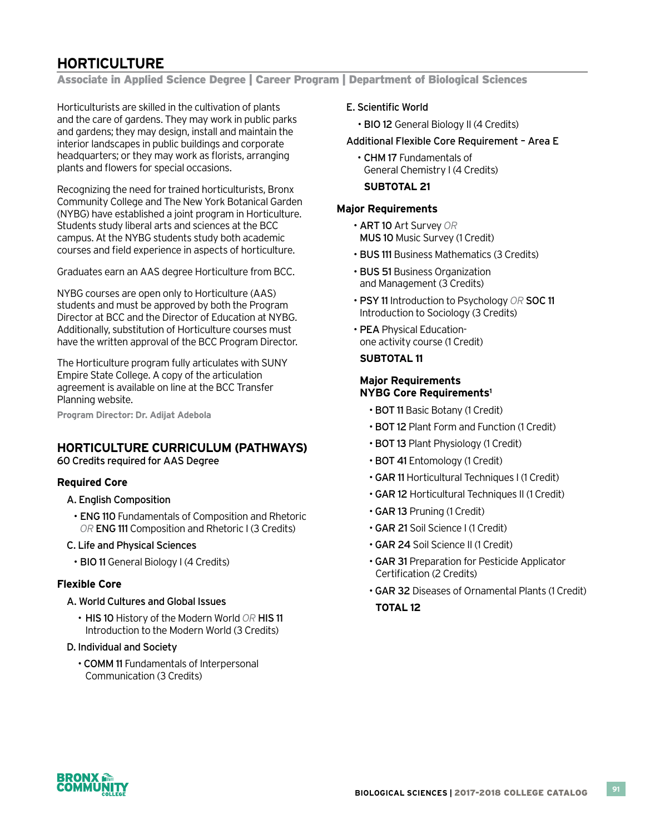# **HORTICULTURE**

Associate in Applied Science Degree | Career Program | Department of Biological Sciences

Horticulturists are skilled in the cultivation of plants and the care of gardens. They may work in public parks and gardens; they may design, install and maintain the interior landscapes in public buildings and corporate headquarters; or they may work as florists, arranging plants and flowers for special occasions.

Recognizing the need for trained horticulturists, Bronx Community College and The New York Botanical Garden (NYBG) have established a joint program in Horticulture. Students study liberal arts and sciences at the BCC campus. At the NYBG students study both academic courses and field experience in aspects of horticulture.

Graduates earn an AAS degree Horticulture from BCC.

NYBG courses are open only to Horticulture (AAS) students and must be approved by both the Program Director at BCC and the Director of Education at NYBG. Additionally, substitution of Horticulture courses must have the written approval of the BCC Program Director.

The Horticulture program fully articulates with SUNY Empire State College. A copy of the articulation agreement is available on line at the BCC Transfer Planning website.

**Program Director: Dr. Adijat Adebola**

## **HORTICULTURE CURRICULUM (PATHWAYS)**

60 Credits required for AAS Degree

#### **Required Core**

- A. English Composition
	- ENG 110 Fundamentals of Composition and Rhetoric *OR* ENG 111 Composition and Rhetoric I (3 Credits)
- C. Life and Physical Sciences
	- BIO 11 General Biology I (4 Credits)

#### **Flexible Core**

- A. World Cultures and Global Issues
	- HIS 10 History of the Modern World OR HIS 11 Introduction to the Modern World (3 Credits)
- D. Individual and Society
	- COMM 11 Fundamentals of Interpersonal Communication (3 Credits)

#### E. Scientific World

• BIO 12 General Biology II (4 Credits)

#### Additional Flexible Core Requirement – Area E

• CHM 17 Fundamentals of General Chemistry I (4 Credits)

#### **SUBTOTAL 21**

#### **Major Requirements**

- • ART 10 Art Survey *OR*  MUS 10 Music Survey (1 Credit)
- BUS 111 Business Mathematics (3 Credits)
- BUS 51 Business Organization and Management (3 Credits)
- • PSY 11 Introduction to Psychology *OR* SOC 11 Introduction to Sociology (3 Credits)
- PEA Physical Education- one activity course (1 Credit)

#### **SUBTOTAL 11**

### **Major Requirements NYBG Core Requirements1**

- BOT 11 Basic Botany (1 Credit)
- BOT 12 Plant Form and Function (1 Credit)
- BOT 13 Plant Physiology (1 Credit)
- BOT 41 Entomology (1 Credit)
- GAR 11 Horticultural Techniques I (1 Credit)
- GAR 12 Horticultural Techniques II (1 Credit)
- GAR 13 Pruning (1 Credit)
- GAR 21 Soil Science I (1 Credit)
- GAR 24 Soil Science II (1 Credit)
- GAR 31 Preparation for Pesticide Applicator Certification (2 Credits)
- GAR 32 Diseases of Ornamental Plants (1 Credit) **TOTAL 12**